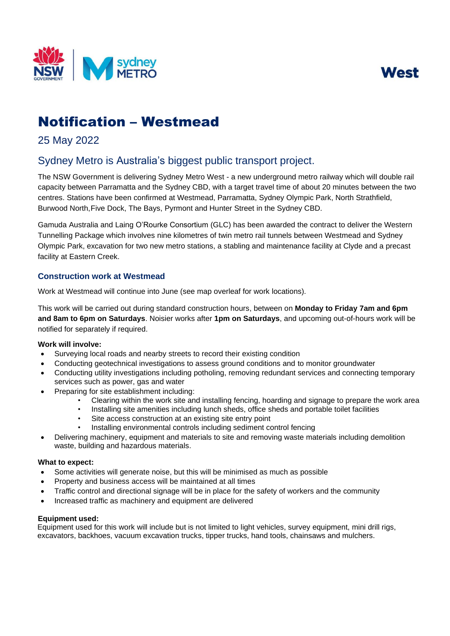



# Notification – Westmead

# 25 May 2022

# Sydney Metro is Australia's biggest public transport project.

The NSW Government is delivering Sydney Metro West - a new underground metro railway which will double rail capacity between Parramatta and the Sydney CBD, with a target travel time of about 20 minutes between the two centres. Stations have been confirmed at Westmead, Parramatta, Sydney Olympic Park, North Strathfield, Burwood North, Five Dock, The Bays, Pyrmont and Hunter Street in the Sydney CBD.

Gamuda Australia and Laing O'Rourke Consortium (GLC) has been awarded the contract to deliver the Western Tunnelling Package which involves nine kilometres of twin metro rail tunnels between Westmead and Sydney Olympic Park, excavation for two new metro stations, a stabling and maintenance facility at Clyde and a precast facility at Eastern Creek.

## **Construction work at Westmead**

Work at Westmead will continue into June (see map overleaf for work locations).

This work will be carried out during standard construction hours, between on **Monday to Friday 7am and 6pm and 8am to 6pm on Saturdays**. Noisier works after **1pm on Saturdays**, and upcoming out-of-hours work will be notified for separately if required.

#### **Work will involve:**

- Surveying local roads and nearby streets to record their existing condition
- Conducting geotechnical investigations to assess ground conditions and to monitor groundwater
- Conducting utility investigations including potholing, removing redundant services and connecting temporary services such as power, gas and water
- Preparing for site establishment including:
	- Clearing within the work site and installing fencing, hoarding and signage to prepare the work area
	- Installing site amenities including lunch sheds, office sheds and portable toilet facilities
	- Site access construction at an existing site entry point
	- Installing environmental controls including sediment control fencing
- Delivering machinery, equipment and materials to site and removing waste materials including demolition waste, building and hazardous materials.

#### **What to expect:**

- Some activities will generate noise, but this will be minimised as much as possible
- Property and business access will be maintained at all times
- Traffic control and directional signage will be in place for the safety of workers and the community
- Increased traffic as machinery and equipment are delivered

#### **Equipment used:**

Equipment used for this work will include but is not limited to light vehicles, survey equipment, mini drill rigs, excavators, backhoes, vacuum excavation trucks, tipper trucks, hand tools, chainsaws and mulchers.